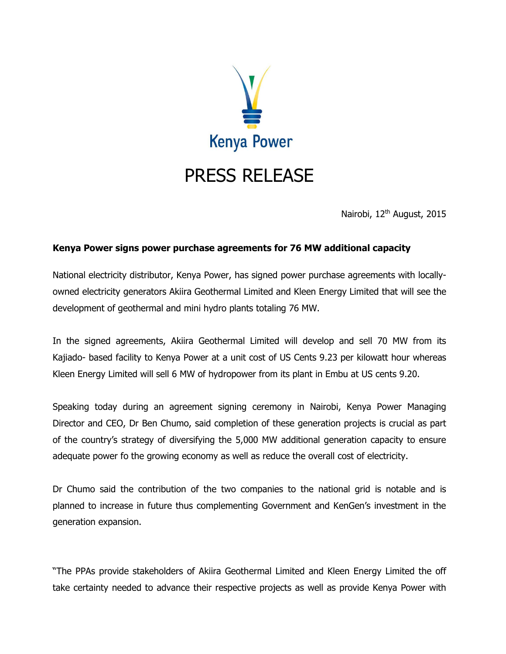

Nairobi, 12<sup>th</sup> August, 2015

## **Kenya Power signs power purchase agreements for 76 MW additional capacity**

National electricity distributor, Kenya Power, has signed power purchase agreements with locallyowned electricity generators Akiira Geothermal Limited and Kleen Energy Limited that will see the development of geothermal and mini hydro plants totaling 76 MW.

In the signed agreements, Akiira Geothermal Limited will develop and sell 70 MW from its Kajiado- based facility to Kenya Power at a unit cost of US Cents 9.23 per kilowatt hour whereas Kleen Energy Limited will sell 6 MW of hydropower from its plant in Embu at US cents 9.20.

Speaking today during an agreement signing ceremony in Nairobi, Kenya Power Managing Director and CEO, Dr Ben Chumo, said completion of these generation projects is crucial as part of the country's strategy of diversifying the 5,000 MW additional generation capacity to ensure adequate power fo the growing economy as well as reduce the overall cost of electricity.

Dr Chumo said the contribution of the two companies to the national grid is notable and is planned to increase in future thus complementing Government and KenGen's investment in the generation expansion.

"The PPAs provide stakeholders of Akiira Geothermal Limited and Kleen Energy Limited the off take certainty needed to advance their respective projects as well as provide Kenya Power with